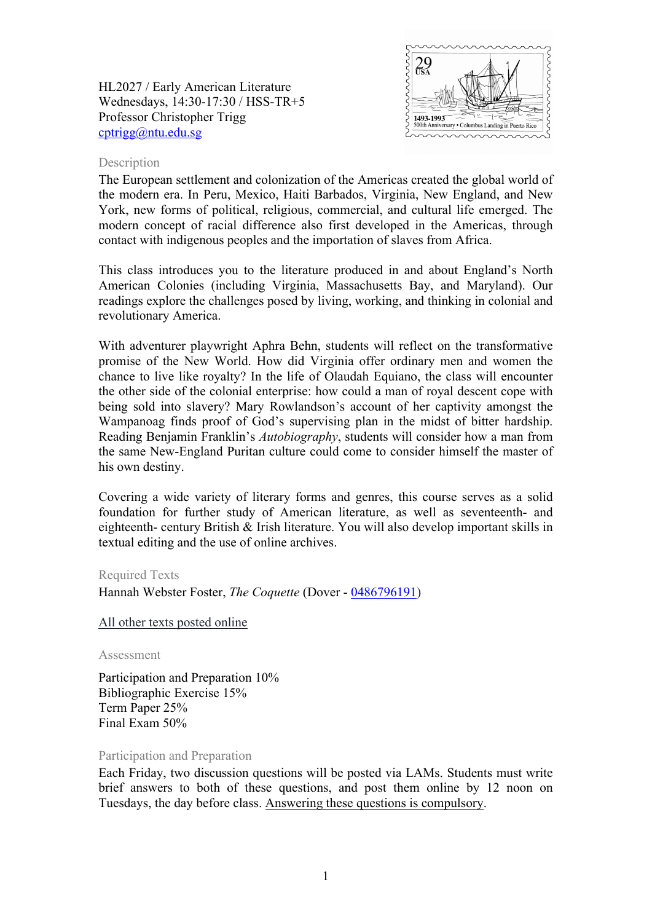HL2027 / Early American Literature Wednesdays, 14:30-17:30 / HSS-TR+5 Professor Christopher Trigg [cptrigg@ntu.edu.sg](mailto:cptrigg@ntu.edu.sg)



### Description

The European settlement and colonization of the Americas created the global world of the modern era. In Peru, Mexico, Haiti Barbados, Virginia, New England, and New York, new forms of political, religious, commercial, and cultural life emerged. The modern concept of racial difference also first developed in the Americas, through contact with indigenous peoples and the importation of slaves from Africa.

This class introduces you to the literature produced in and about England's North American Colonies (including Virginia, Massachusetts Bay, and Maryland). Our readings explore the challenges posed by living, working, and thinking in colonial and revolutionary America.

With adventurer playwright Aphra Behn, students will reflect on the transformative promise of the New World. How did Virginia offer ordinary men and women the chance to live like royalty? In the life of Olaudah Equiano, the class will encounter the other side of the colonial enterprise: how could a man of royal descent cope with being sold into slavery? Mary Rowlandson's account of her captivity amongst the Wampanoag finds proof of God's supervising plan in the midst of bitter hardship. Reading Benjamin Franklin's *Autobiography*, students will consider how a man from the same New-England Puritan culture could come to consider himself the master of his own destiny.

Covering a wide variety of literary forms and genres, this course serves as a solid foundation for further study of American literature, as well as seventeenth- and eighteenth- century British & Irish literature. You will also develop important skills in textual editing and the use of online archives.

# Required Texts

Hannah Webster Foster, *The Coquette* (Dover - [0486796191\)](http://opentrolley.com.sg/BookDetails.aspx?BookID=13830159)

All other texts posted online

Assessment

Participation and Preparation 10% Bibliographic Exercise 15% Term Paper 25% Final Exam 50%

#### Participation and Preparation

Each Friday, two discussion questions will be posted via LAMs. Students must write brief answers to both of these questions, and post them online by 12 noon on Tuesdays, the day before class. Answering these questions is compulsory.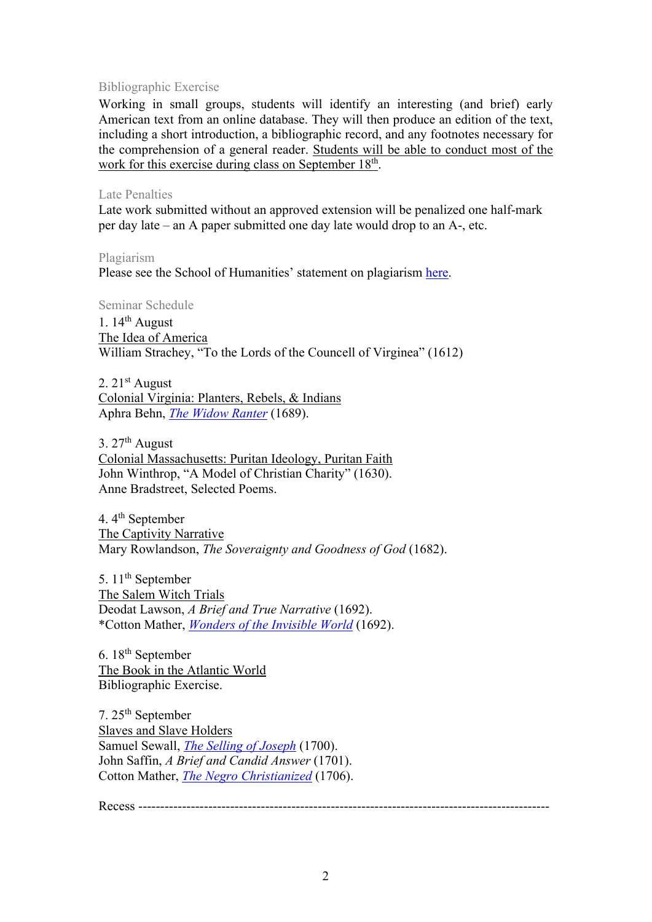# Bibliographic Exercise

Working in small groups, students will identify an interesting (and brief) early American text from an online database. They will then produce an edition of the text, including a short introduction, a bibliographic record, and any footnotes necessary for the comprehension of a general reader. Students will be able to conduct most of the work for this exercise during class on September 18<sup>th</sup>.

### Late Penalties

Late work submitted without an approved extension will be penalized one half-mark per day late – an A paper submitted one day late would drop to an A-, etc.

Plagiarism Please see the School of Humanities' statement on plagiarism [here.](http://www.soh.ntu.edu.sg/Programmes/Undergraduate/current/Pages/forms.aspx)

Seminar Schedule 1.  $14^{th}$  August The Idea of America William Strachey, "To the Lords of the Councell of Virginea" (1612)

2.  $21<sup>st</sup>$  August Colonial Virginia: Planters, Rebels, & Indians Aphra Behn, *[The Widow Ranter](https://digitalcommons.unl.edu/cgi/viewcontent.cgi?article=1045&context=etas)* (1689).

3.  $27<sup>th</sup>$  August Colonial Massachusetts: Puritan Ideology, Puritan Faith John Winthrop, "A Model of Christian Charity" (1630). Anne Bradstreet, Selected Poems.

4. 4<sup>th</sup> September The Captivity Narrative Mary Rowlandson, *The Soveraignty and Goodness of God* (1682).

5. 11<sup>th</sup> September The Salem Witch Trials Deodat Lawson, *A Brief and True Narrative* (1692). \*Cotton Mather, *[Wonders of the Invisible World](https://digitalcommons.unl.edu/cgi/viewcontent.cgi?article=1053&context=etas)* (1692).

6.  $18<sup>th</sup>$  September The Book in the Atlantic World Bibliographic Exercise.

7. 25th September Slaves and Slave Holders Samuel Sewall, *[The Selling of Joseph](https://digitalcommons.unl.edu/cgi/viewcontent.cgi?article=1026&context=etas)* (1700). John Saffin, *A Brief and Candid Answer* (1701). Cotton Mather, *[The Negro Christianized](https://digitalcommons.unl.edu/cgi/viewcontent.cgi?article=1028&context=etas)* (1706).

Recess ----------------------------------------------------------------------------------------------